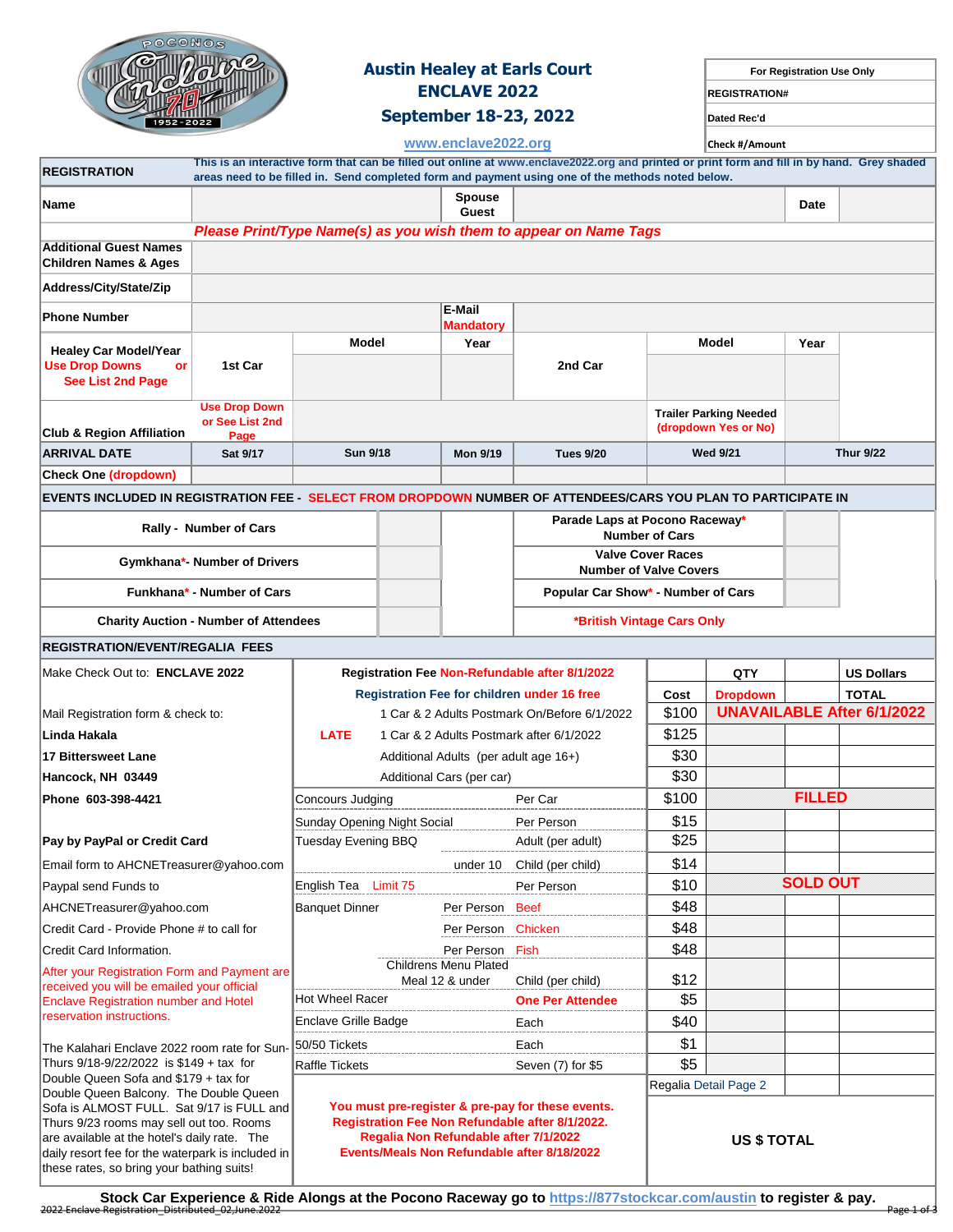

these rates, so bring your bathing suits!

# **Austin Healey at Earls Court For Registration Use Only ENCLAVE 2022 REGISTRATION#**

**September 18-23, 2022 Dated Rec'd**

| 1952-2022                                                                                                                                  |                                              |                                                                                                                                               |  | September 10-23, 2022      |                                                                                                                                             |                               | Dated Rec'd                   |                 |                                   |  |
|--------------------------------------------------------------------------------------------------------------------------------------------|----------------------------------------------|-----------------------------------------------------------------------------------------------------------------------------------------------|--|----------------------------|---------------------------------------------------------------------------------------------------------------------------------------------|-------------------------------|-------------------------------|-----------------|-----------------------------------|--|
|                                                                                                                                            | www.enclave2022.org                          |                                                                                                                                               |  |                            |                                                                                                                                             | Check #/Amount                |                               |                 |                                   |  |
| <b>REGISTRATION</b>                                                                                                                        |                                              |                                                                                                                                               |  |                            | This is an interactive form that can be filled out online at www.enclave2022.org and printed or print form and fill in by hand. Grey shaded |                               |                               |                 |                                   |  |
|                                                                                                                                            |                                              |                                                                                                                                               |  |                            | areas need to be filled in. Send completed form and payment using one of the methods noted below.                                           |                               |                               |                 |                                   |  |
| Name                                                                                                                                       |                                              |                                                                                                                                               |  | Spouse<br>Guest            |                                                                                                                                             |                               |                               | Date            |                                   |  |
|                                                                                                                                            |                                              |                                                                                                                                               |  |                            | Please Print/Type Name(s) as you wish them to appear on Name Tags                                                                           |                               |                               |                 |                                   |  |
| <b>Additional Guest Names</b><br><b>Children Names &amp; Ages</b>                                                                          |                                              |                                                                                                                                               |  |                            |                                                                                                                                             |                               |                               |                 |                                   |  |
| Address/City/State/Zip                                                                                                                     |                                              |                                                                                                                                               |  |                            |                                                                                                                                             |                               |                               |                 |                                   |  |
| <b>Phone Number</b>                                                                                                                        |                                              |                                                                                                                                               |  | E-Mail<br><b>Mandatory</b> |                                                                                                                                             |                               |                               |                 |                                   |  |
| <b>Healey Car Model/Year</b>                                                                                                               |                                              | Model                                                                                                                                         |  | Year                       |                                                                                                                                             |                               | Model<br>Year                 |                 |                                   |  |
| <b>Use Drop Downs</b><br><b>or</b><br>See List 2nd Page                                                                                    | 1st Car                                      |                                                                                                                                               |  |                            | 2nd Car                                                                                                                                     |                               |                               |                 |                                   |  |
|                                                                                                                                            | <b>Use Drop Down</b>                         |                                                                                                                                               |  |                            |                                                                                                                                             |                               | <b>Trailer Parking Needed</b> |                 |                                   |  |
| <b>Club &amp; Region Affiliation</b>                                                                                                       | or See List 2nd<br>Page                      |                                                                                                                                               |  |                            |                                                                                                                                             |                               | (dropdown Yes or No)          |                 |                                   |  |
| <b>ARRIVAL DATE</b>                                                                                                                        | Sat 9/17                                     | <b>Sun 9/18</b>                                                                                                                               |  | <b>Mon 9/19</b>            | <b>Tues 9/20</b>                                                                                                                            |                               | <b>Wed 9/21</b>               |                 | <b>Thur 9/22</b>                  |  |
| Check One (dropdown)                                                                                                                       |                                              |                                                                                                                                               |  |                            |                                                                                                                                             |                               |                               |                 |                                   |  |
| EVENTS INCLUDED IN REGISTRATION FEE - SELECT FROM DROPDOWN NUMBER OF ATTENDEES/CARS YOU PLAN TO PARTICIPATE IN                             |                                              |                                                                                                                                               |  |                            |                                                                                                                                             |                               |                               |                 |                                   |  |
|                                                                                                                                            | Rally - Number of Cars                       |                                                                                                                                               |  |                            | Parade Laps at Pocono Raceway*                                                                                                              | <b>Number of Cars</b>         |                               |                 |                                   |  |
|                                                                                                                                            |                                              |                                                                                                                                               |  |                            | <b>Valve Cover Races</b>                                                                                                                    |                               |                               |                 |                                   |  |
|                                                                                                                                            | Gymkhana*- Number of Drivers                 |                                                                                                                                               |  |                            |                                                                                                                                             | <b>Number of Valve Covers</b> |                               |                 |                                   |  |
|                                                                                                                                            | Funkhana* - Number of Cars                   |                                                                                                                                               |  |                            | Popular Car Show* - Number of Cars                                                                                                          |                               |                               |                 |                                   |  |
|                                                                                                                                            | <b>Charity Auction - Number of Attendees</b> |                                                                                                                                               |  |                            |                                                                                                                                             | *British Vintage Cars Only    |                               |                 |                                   |  |
| REGISTRATION/EVENT/REGALIA FEES                                                                                                            |                                              |                                                                                                                                               |  |                            |                                                                                                                                             |                               |                               |                 |                                   |  |
| Make Check Out to: ENCLAVE 2022                                                                                                            |                                              |                                                                                                                                               |  |                            | <b>Registration Fee Non-Refundable after 8/1/2022</b>                                                                                       |                               | <b>QTY</b>                    |                 | <b>US Dollars</b>                 |  |
|                                                                                                                                            |                                              | <b>Registration Fee for children under 16 free</b>                                                                                            |  |                            |                                                                                                                                             | Cost                          | <b>Dropdown</b>               |                 | <b>TOTAL</b>                      |  |
| Mail Registration form & check to:                                                                                                         |                                              | 1 Car & 2 Adults Postmark On/Before 6/1/2022                                                                                                  |  |                            |                                                                                                                                             | \$100                         |                               |                 | <b>UNAVAILABLE After 6/1/2022</b> |  |
| Linda Hakala                                                                                                                               |                                              | <b>LATE</b><br>1 Car & 2 Adults Postmark after 6/1/2022                                                                                       |  |                            | \$125                                                                                                                                       |                               |                               |                 |                                   |  |
| <b>17 Bittersweet Lane</b>                                                                                                                 |                                              | Additional Adults (per adult age 16+)                                                                                                         |  |                            | \$30                                                                                                                                        |                               |                               |                 |                                   |  |
| Hancock, NH 03449                                                                                                                          |                                              | Additional Cars (per car)                                                                                                                     |  |                            |                                                                                                                                             | \$30                          |                               |                 |                                   |  |
| Phone 603-398-4421                                                                                                                         |                                              | Concours Judging                                                                                                                              |  |                            | Per Car                                                                                                                                     | \$100                         |                               | <b>FILLED</b>   |                                   |  |
|                                                                                                                                            |                                              | Sunday Opening Night Social                                                                                                                   |  |                            | Per Person                                                                                                                                  | \$15                          |                               |                 |                                   |  |
| Pay by PayPal or Credit Card                                                                                                               |                                              | <b>Tuesday Evening BBQ</b>                                                                                                                    |  |                            | Adult (per adult)                                                                                                                           | \$25                          |                               |                 |                                   |  |
| Email form to AHCNETreasurer@yahoo.com                                                                                                     |                                              |                                                                                                                                               |  | under 10                   | Child (per child)                                                                                                                           | \$14                          |                               |                 |                                   |  |
| Paypal send Funds to                                                                                                                       |                                              | English Tea Limit 75                                                                                                                          |  |                            | Per Person                                                                                                                                  | \$10                          |                               | <b>SOLD OUT</b> |                                   |  |
| AHCNETreasurer@yahoo.com                                                                                                                   |                                              | <b>Banquet Dinner</b>                                                                                                                         |  | Per Person                 | <b>Beef</b>                                                                                                                                 | \$48                          |                               |                 |                                   |  |
| Credit Card - Provide Phone # to call for                                                                                                  |                                              |                                                                                                                                               |  | Per Person                 | Chicken                                                                                                                                     | \$48                          |                               |                 |                                   |  |
| Credit Card Information.                                                                                                                   |                                              |                                                                                                                                               |  | Per Person Fish            |                                                                                                                                             | \$48                          |                               |                 |                                   |  |
| After your Registration Form and Payment are<br>received you will be emailed your official<br><b>Enclave Registration number and Hotel</b> |                                              | <b>Childrens Menu Plated</b><br>Meal 12 & under                                                                                               |  | Child (per child)          | \$12                                                                                                                                        |                               |                               |                 |                                   |  |
|                                                                                                                                            |                                              | Hot Wheel Racer                                                                                                                               |  |                            | <b>One Per Attendee</b>                                                                                                                     | \$5                           |                               |                 |                                   |  |
| reservation instructions.                                                                                                                  |                                              | Enclave Grille Badge                                                                                                                          |  |                            | Each                                                                                                                                        | \$40                          |                               |                 |                                   |  |
| The Kalahari Enclave 2022 room rate for Sun-<br>Thurs 9/18-9/22/2022 is \$149 + tax for                                                    |                                              | 50/50 Tickets                                                                                                                                 |  |                            | Each                                                                                                                                        | \$1                           |                               |                 |                                   |  |
|                                                                                                                                            |                                              | Raffle Tickets                                                                                                                                |  |                            | Seven (7) for \$5                                                                                                                           | \$5                           |                               |                 |                                   |  |
| Double Queen Sofa and \$179 + tax for<br>Double Queen Balcony. The Double Queen                                                            |                                              |                                                                                                                                               |  |                            |                                                                                                                                             |                               | Regalia Detail Page 2         |                 |                                   |  |
| Sofa is ALMOST FULL. Sat 9/17 is FULL and<br>Thurs 9/23 rooms may sell out too. Rooms                                                      |                                              | You must pre-register & pre-pay for these events.<br>Registration Fee Non Refundable after 8/1/2022.<br>Regalia Non Refundable after 7/1/2022 |  |                            |                                                                                                                                             |                               |                               |                 |                                   |  |
| are available at the hotel's daily rate. The<br>daily resort fee for the waterpark is included in                                          |                                              | Events/Meals Non Refundable after 8/18/2022                                                                                                   |  |                            |                                                                                                                                             | <b>US \$ TOTAL</b>            |                               |                 |                                   |  |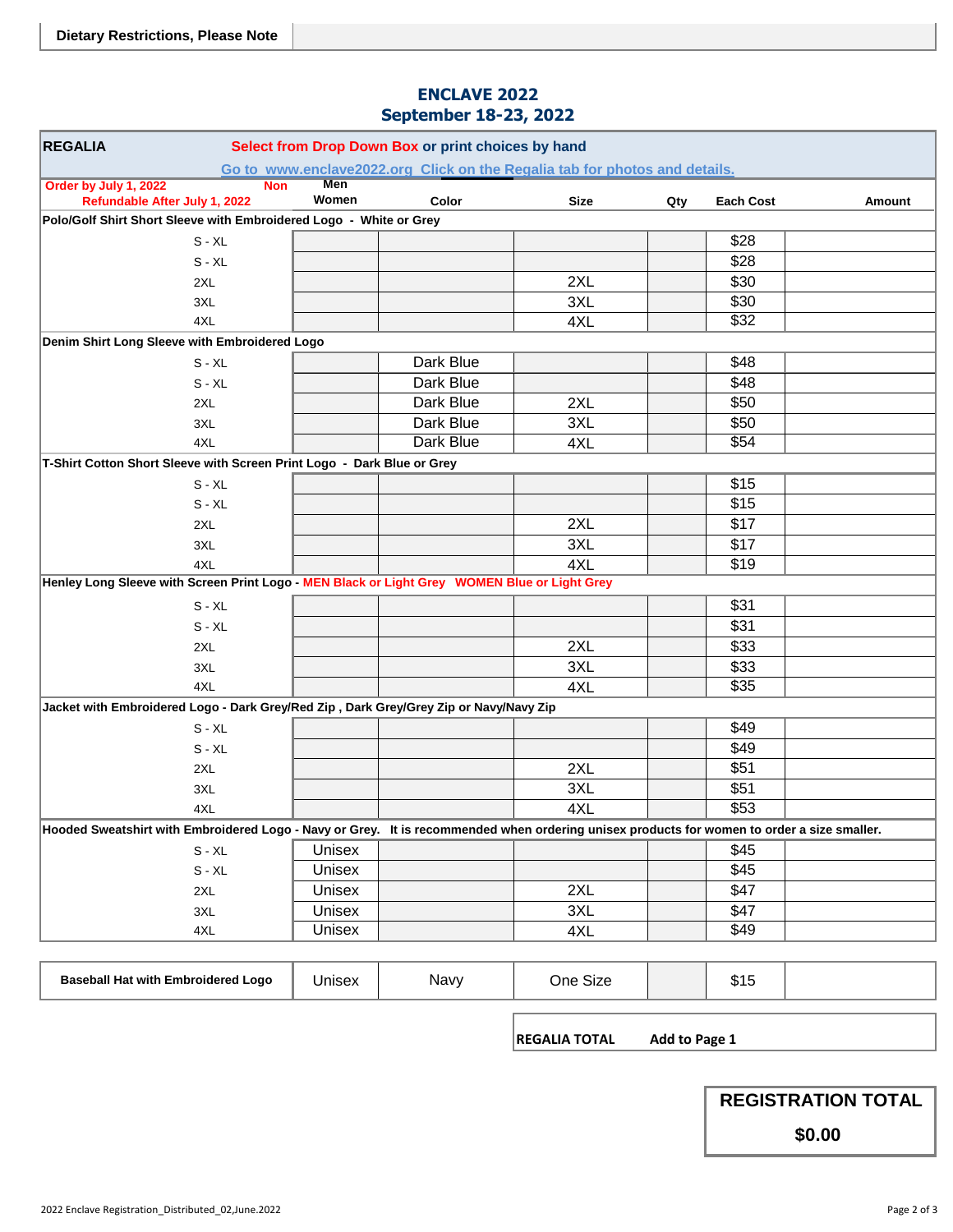#### **ENCLAVE 2022 September 18-23, 2022**

| <b>REGALIA</b><br>Select from Drop Down Box or print choices by hand                                                                                             |                     |           |          |  |      |  |  |
|------------------------------------------------------------------------------------------------------------------------------------------------------------------|---------------------|-----------|----------|--|------|--|--|
| Go to www.enclave2022.org Click on the Regalia tab for photos and details.                                                                                       |                     |           |          |  |      |  |  |
| Order by July 1, 2022<br><b>Non</b>                                                                                                                              | <b>Men</b><br>Women |           |          |  |      |  |  |
| Refundable After July 1, 2022<br>Color<br><b>Size</b><br>Qty<br><b>Each Cost</b><br>Amount<br>Polo/Golf Shirt Short Sleeve with Embroidered Logo - White or Grey |                     |           |          |  |      |  |  |
| $S - XL$                                                                                                                                                         |                     |           |          |  | \$28 |  |  |
| $S - XL$                                                                                                                                                         |                     |           |          |  | \$28 |  |  |
| 2XL                                                                                                                                                              |                     |           | 2XL      |  | \$30 |  |  |
| 3XL                                                                                                                                                              |                     |           | 3XL      |  | \$30 |  |  |
| 4XL                                                                                                                                                              |                     |           | 4XL      |  | \$32 |  |  |
| Denim Shirt Long Sleeve with Embroidered Logo                                                                                                                    |                     |           |          |  |      |  |  |
| $S - XL$                                                                                                                                                         |                     | Dark Blue |          |  | \$48 |  |  |
| $S - XL$                                                                                                                                                         |                     | Dark Blue |          |  | \$48 |  |  |
| 2XL                                                                                                                                                              |                     | Dark Blue | 2XL      |  | \$50 |  |  |
| 3XL                                                                                                                                                              |                     | Dark Blue | 3XL      |  | \$50 |  |  |
| 4XL                                                                                                                                                              |                     | Dark Blue | 4XL      |  | \$54 |  |  |
| T-Shirt Cotton Short Sleeve with Screen Print Logo - Dark Blue or Grey                                                                                           |                     |           |          |  |      |  |  |
| $S - XL$                                                                                                                                                         |                     |           |          |  | \$15 |  |  |
| $S - XL$                                                                                                                                                         |                     |           |          |  | \$15 |  |  |
| 2XL                                                                                                                                                              |                     |           | 2XL      |  | \$17 |  |  |
| 3XL                                                                                                                                                              |                     |           | 3XL      |  | \$17 |  |  |
| 4XL                                                                                                                                                              |                     |           | 4XL      |  | \$19 |  |  |
| Henley Long Sleeve with Screen Print Logo - MEN Black or Light Grey WOMEN Blue or Light Grey                                                                     |                     |           |          |  |      |  |  |
| $S - XL$                                                                                                                                                         |                     |           |          |  | \$31 |  |  |
| $S - XL$                                                                                                                                                         |                     |           |          |  | \$31 |  |  |
| 2XL                                                                                                                                                              |                     |           | 2XL      |  | \$33 |  |  |
| 3XL                                                                                                                                                              |                     |           | 3XL      |  | \$33 |  |  |
| 4XL                                                                                                                                                              |                     |           | 4XL      |  | \$35 |  |  |
| Jacket with Embroidered Logo - Dark Grey/Red Zip, Dark Grey/Grey Zip or Navy/Navy Zip                                                                            |                     |           |          |  |      |  |  |
| $S - XL$                                                                                                                                                         |                     |           |          |  | \$49 |  |  |
| $S - XL$                                                                                                                                                         |                     |           |          |  | \$49 |  |  |
| 2XL                                                                                                                                                              |                     |           | 2XL      |  | \$51 |  |  |
| 3XL                                                                                                                                                              |                     |           | 3XL      |  | \$51 |  |  |
| 4XL                                                                                                                                                              |                     |           | 4XL      |  | \$53 |  |  |
| Hooded Sweatshirt with Embroidered Logo - Navy or Grey. It is recommended when ordering unisex products for women to order a size smaller.                       |                     |           |          |  |      |  |  |
| $S - XL$                                                                                                                                                         | Unisex              |           |          |  | \$45 |  |  |
| $S - XL$                                                                                                                                                         | Unisex              |           |          |  | \$45 |  |  |
| 2XL                                                                                                                                                              | Unisex              |           | 2XL      |  | \$47 |  |  |
| 3XL                                                                                                                                                              | Unisex              |           | 3XL      |  | \$47 |  |  |
| 4XL                                                                                                                                                              | Unisex              |           | 4XL      |  | \$49 |  |  |
|                                                                                                                                                                  |                     |           |          |  |      |  |  |
| <b>Baseball Hat with Embroidered Logo</b>                                                                                                                        | Unisex              | Navy      | One Size |  | \$15 |  |  |

**REGALIA TOTAL Add to Page 1** 

**REGISTRATION TOTAL**

**\$0.00**